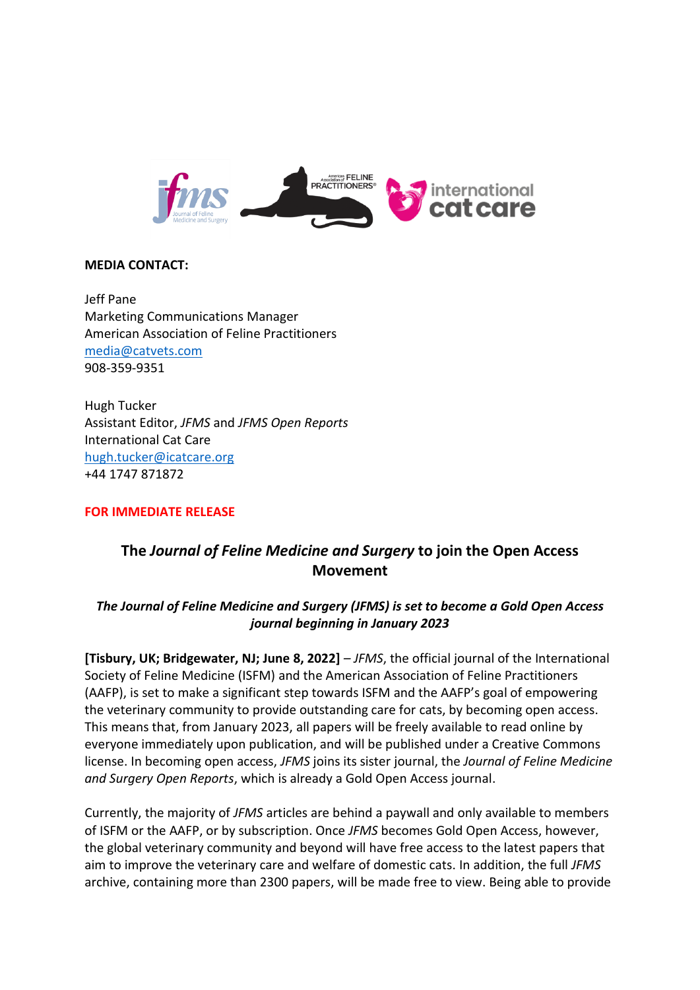

### **MEDIA CONTACT:**

Jeff Pane Marketing Communications Manager American Association of Feline Practitioners [media@catvets.com](mailto:media@catvets.com) 908-359-9351

Hugh Tucker Assistant Editor, *JFMS* and *JFMS Open Reports* International Cat Care [hugh.tucker@icatcare.org](mailto:hugh.tucker@icatcare.org) +44 1747 871872

#### **FOR IMMEDIATE RELEASE**

# **The** *Journal of Feline Medicine and Surgery* **to join the Open Access Movement**

## *The Journal of Feline Medicine and Surgery (JFMS) is set to become a Gold Open Access journal beginning in January 2023*

**[Tisbury, UK; Bridgewater, NJ; June 8, 2022]** *– JFMS*, the official journal of the International Society of Feline Medicine (ISFM) and the American Association of Feline Practitioners (AAFP), is set to make a significant step towards ISFM and the AAFP's goal of empowering the veterinary community to provide outstanding care for cats, by becoming open access. This means that, from January 2023, all papers will be freely available to read online by everyone immediately upon publication, and will be published under a Creative Commons license. In becoming open access, *JFMS* joins its sister journal, the *Journal of Feline Medicine and Surgery Open Reports*, which is already a Gold Open Access journal.

Currently, the majority of *JFMS* articles are behind a paywall and only available to members of ISFM or the AAFP, or by subscription. Once *JFMS* becomes Gold Open Access, however, the global veterinary community and beyond will have free access to the latest papers that aim to improve the veterinary care and welfare of domestic cats. In addition, the full *JFMS* archive, containing more than 2300 papers, will be made free to view. Being able to provide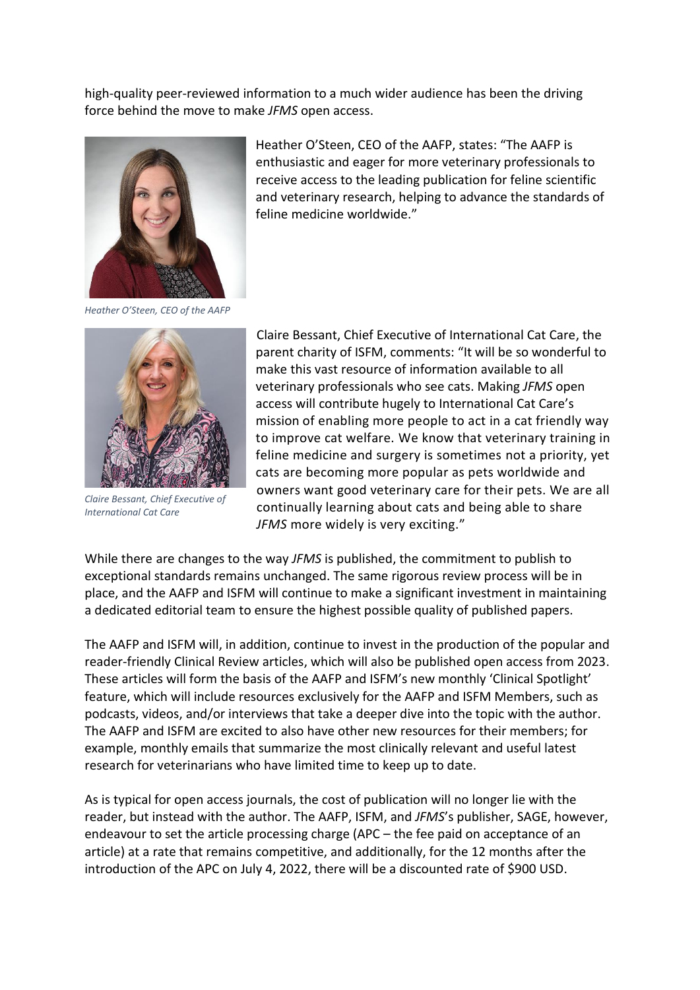high-quality peer-reviewed information to a much wider audience has been the driving force behind the move to make *JFMS* open access.



Heather O'Steen, CEO of the AAFP, states: "The AAFP is enthusiastic and eager for more veterinary professionals to receive access to the leading publication for feline scientific and veterinary research, helping to advance the standards of feline medicine worldwide."

*Heather O'Steen, CEO of the AAFP*



*Claire Bessant, Chief Executive of International Cat Care*

Claire Bessant, Chief Executive of International Cat Care, the parent charity of ISFM, comments: "It will be so wonderful to make this vast resource of information available to all veterinary professionals who see cats. Making *JFMS* open access will contribute hugely to International Cat Care's mission of enabling more people to act in a cat friendly way to improve cat welfare. We know that veterinary training in feline medicine and surgery is sometimes not a priority, yet cats are becoming more popular as pets worldwide and owners want good veterinary care for their pets. We are all continually learning about cats and being able to share *JFMS* more widely is very exciting."

While there are changes to the way *JFMS* is published, the commitment to publish to exceptional standards remains unchanged. The same rigorous review process will be in place, and the AAFP and ISFM will continue to make a significant investment in maintaining a dedicated editorial team to ensure the highest possible quality of published papers.

The AAFP and ISFM will, in addition, continue to invest in the production of the popular and reader-friendly Clinical Review articles, which will also be published open access from 2023. These articles will form the basis of the AAFP and ISFM's new monthly 'Clinical Spotlight' feature, which will include resources exclusively for the AAFP and ISFM Members, such as podcasts, videos, and/or interviews that take a deeper dive into the topic with the author. The AAFP and ISFM are excited to also have other new resources for their members; for example, monthly emails that summarize the most clinically relevant and useful latest research for veterinarians who have limited time to keep up to date.

As is typical for open access journals, the cost of publication will no longer lie with the reader, but instead with the author. The AAFP, ISFM, and *JFMS*'s publisher, SAGE, however, endeavour to set the article processing charge (APC – the fee paid on acceptance of an article) at a rate that remains competitive, and additionally, for the 12 months after the introduction of the APC on July 4, 2022, there will be a discounted rate of \$900 USD.